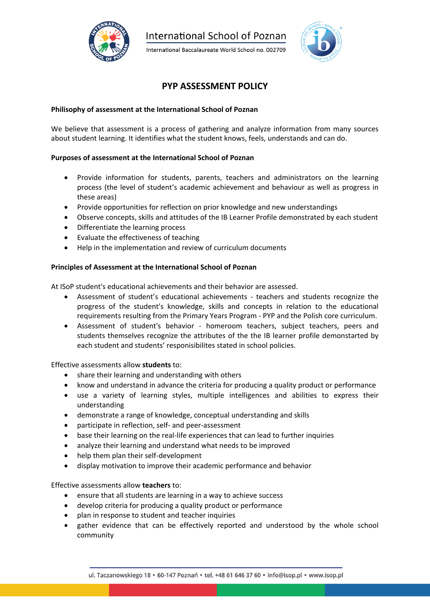

**International School of Poznan** 

International Baccalaureate World School no. 002709



# **PYP ASSESSMENT POLICY**

## **Philisophy of assessment at the International School of Poznan**

We believe that assessment is a process of gathering and analyze information from many sources about student learning. It identifies what the student knows, feels, understands and can do.

## **Purposes of assessment at the International School of Poznan**

- Provide information for students, parents, teachers and administrators on the learning process (the level of student's academic achievement and behaviour as well as progress in these areas)
- Provide opportunities for reflection on prior knowledge and new understandings
- Observe concepts, skills and attitudes of the IB Learner Profile demonstrated by each student
- Differentiate the learning process
- Evaluate the effectiveness of teaching
- Help in the implementation and review of curriculum documents

## **Principles of Assessment at the International School of Poznan**

At ISoP student's educational achievements and their behavior are assessed.

- Assessment of student's educational achievements teachers and students recognize the progress of the student's knowledge, skills and concepts in relation to the educational requirements resulting from the Primary Years Program - PYP and the Polish core curriculum.
- Assessment of student's behavior homeroom teachers, subject teachers, peers and students themselves recognize the attributes of the the IB learner profile demonstarted by each student and students' responisibilites stated in school policies.

Effective assessments allow **students** to:

- share their learning and understanding with others
- know and understand in advance the criteria for producing a quality product or performance
- use a variety of learning styles, multiple intelligences and abilities to express their understanding
- demonstrate a range of knowledge, conceptual understanding and skills
- participate in reflection, self- and peer-assessment
- base their learning on the real-life experiences that can lead to further inquiries
- analyze their learning and understand what needs to be improved
- help them plan their self-development
- display motivation to improve their academic performance and behavior

Effective assessments allow **teachers** to:

- ensure that all students are learning in a way to achieve success
- develop criteria for producing a quality product or performance
- plan in response to student and teacher inquiries
- gather evidence that can be effectively reported and understood by the whole school community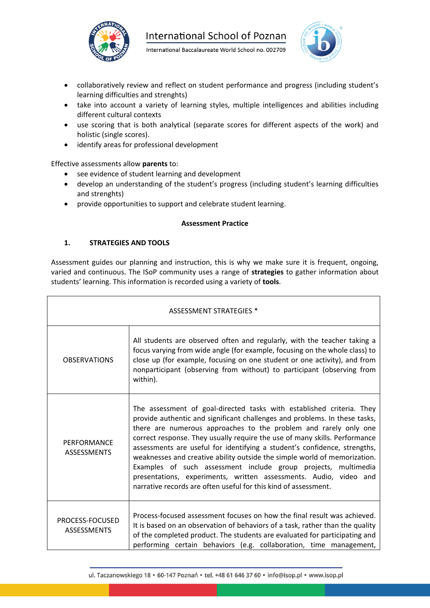



- collaboratively review and reflect on student performance and progress (including student's learning difficulties and strenghts)
- take into account a variety of learning styles, multiple intelligences and abilities including different cultural contexts
- use scoring that is both analytical (separate scores for different aspects of the work) and holistic (single scores).
- identify areas for professional development

Effective assessments allow **parents** to:

- see evidence of student learning and development
- develop an understanding of the student's progress (including student's learning difficulties and strenghts)
- provide opportunities to support and celebrate student learning.

## **Assessment Practice**

# **1. STRATEGIES AND TOOLS**

Assessment guides our planning and instruction, this is why we make sure it is frequent, ongoing, varied and continuous. The ISoP community uses a range of **strategies** to gather information about students' learning. This information is recorded using a variety of **tools**.

| <b>ASSESSMENT STRATEGIES *</b>        |                                                                                                                                                                                                                                                                                                                                                                                                                                                                                                                                                                                                                                                                           |  |
|---------------------------------------|---------------------------------------------------------------------------------------------------------------------------------------------------------------------------------------------------------------------------------------------------------------------------------------------------------------------------------------------------------------------------------------------------------------------------------------------------------------------------------------------------------------------------------------------------------------------------------------------------------------------------------------------------------------------------|--|
| <b>OBSERVATIONS</b>                   | All students are observed often and regularly, with the teacher taking a<br>focus varying from wide angle (for example, focusing on the whole class) to<br>close up (for example, focusing on one student or one activity), and from<br>nonparticipant (observing from without) to participant (observing from<br>within).                                                                                                                                                                                                                                                                                                                                                |  |
| PERFORMANCE<br><b>ASSESSMENTS</b>     | The assessment of goal-directed tasks with established criteria. They<br>provide authentic and significant challenges and problems. In these tasks,<br>there are numerous approaches to the problem and rarely only one<br>correct response. They usually require the use of many skills. Performance<br>assessments are useful for identifying a student's confidence, strengths,<br>weaknesses and creative ability outside the simple world of memorization.<br>Examples of such assessment include group projects, multimedia<br>presentations, experiments, written assessments. Audio, video and<br>narrative records are often useful for this kind of assessment. |  |
| PROCESS-FOCUSED<br><b>ASSESSMENTS</b> | Process-focused assessment focuses on how the final result was achieved.<br>It is based on an observation of behaviors of a task, rather than the quality<br>of the completed product. The students are evaluated for participating and<br>performing certain behaviors (e.g. collaboration, time management,                                                                                                                                                                                                                                                                                                                                                             |  |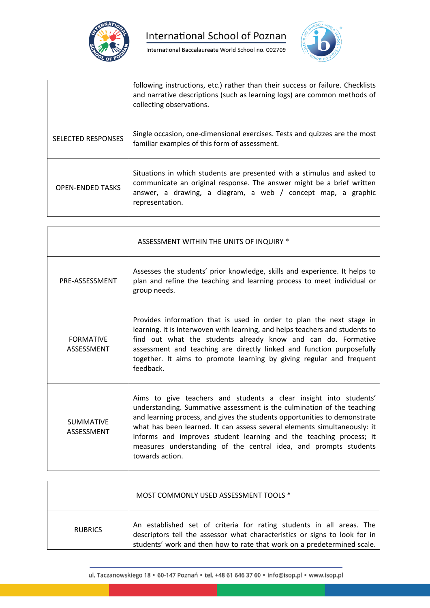



|                           | following instructions, etc.) rather than their success or failure. Checklists<br>and narrative descriptions (such as learning logs) are common methods of<br>collecting observations.                                              |
|---------------------------|-------------------------------------------------------------------------------------------------------------------------------------------------------------------------------------------------------------------------------------|
| <b>SELECTED RESPONSES</b> | Single occasion, one-dimensional exercises. Tests and quizzes are the most<br>familiar examples of this form of assessment.                                                                                                         |
| <b>OPEN-ENDED TASKS</b>   | Situations in which students are presented with a stimulus and asked to<br>communicate an original response. The answer might be a brief written<br>answer, a drawing, a diagram, a web / concept map, a graphic<br>representation. |

| ASSESSMENT WITHIN THE UNITS OF INQUIRY * |                                                                                                                                                                                                                                                                                                                                                                                                                                                                   |  |
|------------------------------------------|-------------------------------------------------------------------------------------------------------------------------------------------------------------------------------------------------------------------------------------------------------------------------------------------------------------------------------------------------------------------------------------------------------------------------------------------------------------------|--|
| PRE-ASSESSMENT                           | Assesses the students' prior knowledge, skills and experience. It helps to<br>plan and refine the teaching and learning process to meet individual or<br>group needs.                                                                                                                                                                                                                                                                                             |  |
| <b>FORMATIVE</b><br>ASSESSMENT           | Provides information that is used in order to plan the next stage in<br>learning. It is interwoven with learning, and helps teachers and students to<br>find out what the students already know and can do. Formative<br>assessment and teaching are directly linked and function purposefully<br>together. It aims to promote learning by giving regular and frequent<br>feedback.                                                                               |  |
| <b>SUMMATIVE</b><br>ASSESSMENT           | Aims to give teachers and students a clear insight into students'<br>understanding. Summative assessment is the culmination of the teaching<br>and learning process, and gives the students opportunities to demonstrate<br>what has been learned. It can assess several elements simultaneously: it<br>informs and improves student learning and the teaching process; it<br>measures understanding of the central idea, and prompts students<br>towards action. |  |

|                | MOST COMMONLY USED ASSESSMENT TOOLS *                                                                                                                                                                                         |
|----------------|-------------------------------------------------------------------------------------------------------------------------------------------------------------------------------------------------------------------------------|
| <b>RUBRICS</b> | An established set of criteria for rating students in all areas. The<br>descriptors tell the assessor what characteristics or signs to look for in<br>students' work and then how to rate that work on a predetermined scale. |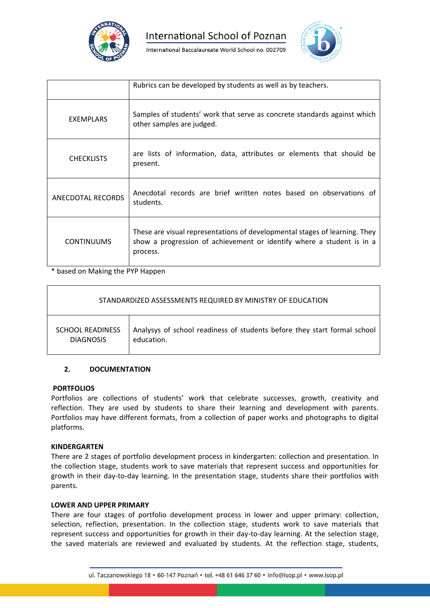



|                   | Rubrics can be developed by students as well as by teachers.                                                                                                    |
|-------------------|-----------------------------------------------------------------------------------------------------------------------------------------------------------------|
| <b>EXEMPLARS</b>  | Samples of students' work that serve as concrete standards against which<br>other samples are judged.                                                           |
| <b>CHECKLISTS</b> | are lists of information, data, attributes or elements that should be<br>present.                                                                               |
| ANECDOTAL RECORDS | Anecdotal records are brief written notes based on observations of<br>students.                                                                                 |
| <b>CONTINUUMS</b> | These are visual representations of developmental stages of learning. They<br>show a progression of achievement or identify where a student is in a<br>process. |

\* based on Making the PYP Happen

| STANDARDIZED ASSESSMENTS REQUIRED BY MINISTRY OF EDUCATION |                                                                          |  |
|------------------------------------------------------------|--------------------------------------------------------------------------|--|
| <b>SCHOOL READINESS</b>                                    | Analysys of school readiness of students before they start formal school |  |
| <b>DIAGNOSIS</b>                                           | education.                                                               |  |

# **2. DOCUMENTATION**

## **PORTFOLIOS**

Portfolios are collections of students' work that celebrate successes, growth, creativity and reflection. They are used by students to share their learning and development with parents. Portfolios may have different formats, from a collection of paper works and photographs to digital platforms.

## **KINDERGARTEN**

There are 2 stages of portfolio development process in kindergarten: collection and presentation. In the collection stage, students work to save materials that represent success and opportunities for growth in their day-to-day learning. In the presentation stage, students share their portfolios with parents.

## **LOWER AND UPPER PRIMARY**

There are four stages of portfolio development process in lower and upper primary: collection, selection, reflection, presentation. In the collection stage, students work to save materials that represent success and opportunities for growth in their day-to-day learning. At the selection stage, the saved materials are reviewed and evaluated by students. At the reflection stage, students,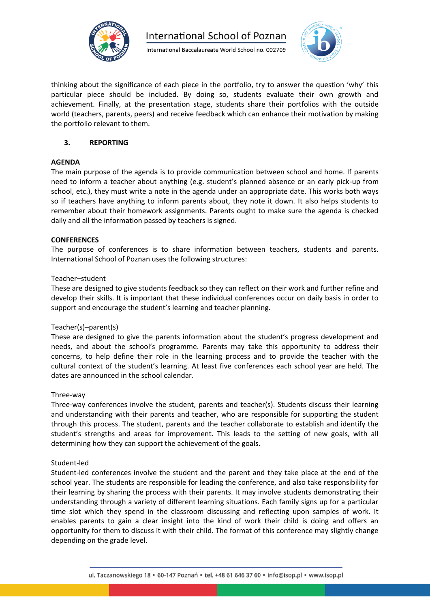



thinking about the significance of each piece in the portfolio, try to answer the question 'why' this particular piece should be included. By doing so, students evaluate their own growth and achievement. Finally, at the presentation stage, students share their portfolios with the outside world (teachers, parents, peers) and receive feedback which can enhance their motivation by making the portfolio relevant to them.

# **3. REPORTING**

## **AGENDA**

The main purpose of the agenda is to provide communication between school and home. If parents need to inform a teacher about anything (e.g. student's planned absence or an early pick-up from school, etc.), they must write a note in the agenda under an appropriate date. This works both ways so if teachers have anything to inform parents about, they note it down. It also helps students to remember about their homework assignments. Parents ought to make sure the agenda is checked daily and all the information passed by teachers is signed.

## **CONFERENCES**

The purpose of conferences is to share information between teachers, students and parents. International School of Poznan uses the following structures:

## Teacher–student

These are designed to give students feedback so they can reflect on their work and further refine and develop their skills. It is important that these individual conferences occur on daily basis in order to support and encourage the student's learning and teacher planning.

## Teacher(s)–parent(s)

These are designed to give the parents information about the student's progress development and needs, and about the school's programme. Parents may take this opportunity to address their concerns, to help define their role in the learning process and to provide the teacher with the cultural context of the student's learning. At least five conferences each school year are held. The dates are announced in the school calendar.

## Three-way

Three-way conferences involve the student, parents and teacher(s). Students discuss their learning and understanding with their parents and teacher, who are responsible for supporting the student through this process. The student, parents and the teacher collaborate to establish and identify the student's strengths and areas for improvement. This leads to the setting of new goals, with all determining how they can support the achievement of the goals.

## Student-led

Student-led conferences involve the student and the parent and they take place at the end of the school year. The students are responsible for leading the conference, and also take responsibility for their learning by sharing the process with their parents. It may involve students demonstrating their understanding through a variety of different learning situations. Each family signs up for a particular time slot which they spend in the classroom discussing and reflecting upon samples of work. It enables parents to gain a clear insight into the kind of work their child is doing and offers an opportunity for them to discuss it with their child. The format of this conference may slightly change depending on the grade level.